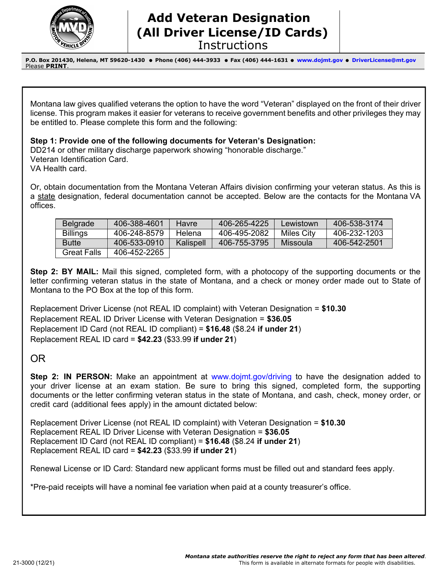

## **Add Veteran Designation (All Driver License/ID Cards) Instructions**

**P.O. Box 201430, Helena, MT 59620-1430 Phone (406) 444-3933 Fax (406) 444-1631 [www.dojmt.gov](http://www.dojmt.gov/driving/)  [DriverLicense@mt.gov](mailto:DriverLicense@mt.gov)** Please **PRINT**.

Montana law gives qualified veterans the option to have the word "Veteran" displayed on the front of their driver license. This program makes it easier for veterans to receive government benefits and other privileges they may be entitled to. Please complete this form and the following:

**Step 1: Provide one of the following documents for Veteran's Designation:** 

DD214 or other military discharge paperwork showing "honorable discharge." Veteran Identification Card.

VA Health card.

Or, obtain documentation from the Montana Veteran Affairs division confirming your veteran status. As this is a state designation, federal documentation cannot be accepted. Below are the contacts for the Montana VA offices.

| <b>Belgrade</b>    | 406-388-4601 | <b>Havre</b> | 406-265-4225 | Lewistown         | 406-538-3174 |
|--------------------|--------------|--------------|--------------|-------------------|--------------|
| <b>Billings</b>    | 406-248-8579 | Helena       | 406-495-2082 | <b>Miles City</b> | 406-232-1203 |
| <b>Butte</b>       | 406-533-0910 | Kalispell    | 406-755-3795 | Missoula          | 406-542-2501 |
| <b>Great Falls</b> | 406-452-2265 |              |              |                   |              |

**Step 2: BY MAIL:** Mail this signed, completed form, with a photocopy of the supporting documents or the letter confirming veteran status in the state of Montana, and a check or money order made out to State of Montana to the PO Box at the top of this form.

Replacement Driver License (not REAL ID complaint) with Veteran Designation = **\$10.30** Replacement REAL ID Driver License with Veteran Designation = **\$36.05** Replacement ID Card (not REAL ID compliant) = **\$16.48** (\$8.24 **if under 21**) Replacement REAL ID card = **\$42.23** (\$33.99 **if under 21**)

## OR

**Step 2: IN PERSON:** Make an appointment at [www.dojmt.gov/driving](http://www.dojmt.gov/driving) to have the designation added to your driver license at an exam station. Be sure to bring this signed, completed form, the supporting documents or the letter confirming veteran status in the state of Montana, and cash, check, money order, or credit card (additional fees apply) in the amount dictated below:

Replacement Driver License (not REAL ID complaint) with Veteran Designation = **\$10.30** Replacement REAL ID Driver License with Veteran Designation = **\$36.05** Replacement ID Card (not REAL ID compliant) = **\$16.48** (\$8.24 **if under 21**) Replacement REAL ID card = **\$42.23** (\$33.99 **if under 21**)

Renewal License or ID Card: Standard new applicant forms must be filled out and standard fees apply.

\*Pre-paid receipts will have a nominal fee variation when paid at a county treasurer's office.